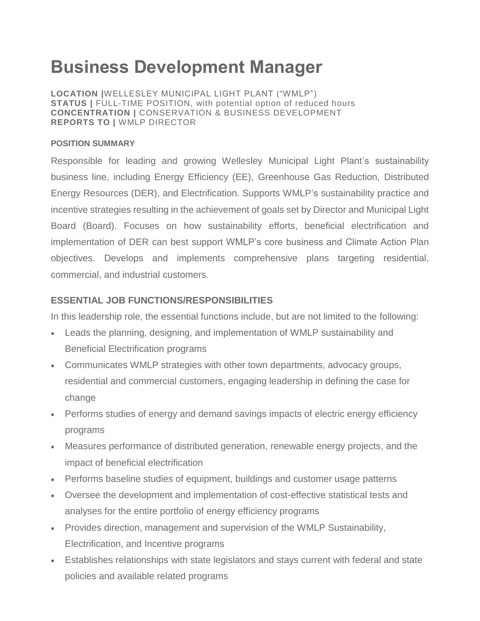# **Business Development Manager**

**LOCATION |**WELLESLEY MUNICIPAL LIGHT PLANT ("WMLP") **STATUS |** FULL-TIME POSITION, with potential option of reduced hours **CONCENTRATION |** CONSERVATION & BUSINESS DEVELOPMENT **REPORTS TO |** WMLP DIRECTOR

#### **POSITION SUMMARY**

Responsible for leading and growing Wellesley Municipal Light Plant's sustainability business line, including Energy Efficiency (EE), Greenhouse Gas Reduction, Distributed Energy Resources (DER), and Electrification. Supports WMLP's sustainability practice and incentive strategies resulting in the achievement of goals set by Director and Municipal Light Board (Board). Focuses on how sustainability efforts, beneficial electrification and implementation of DER can best support WMLP's core business and Climate Action Plan objectives. Develops and implements comprehensive plans targeting residential, commercial, and industrial customers.

## **ESSENTIAL JOB FUNCTIONS/RESPONSIBILITIES**

In this leadership role, the essential functions include, but are not limited to the following:

- Leads the planning, designing, and implementation of WMLP sustainability and Beneficial Electrification programs
- Communicates WMLP strategies with other town departments, advocacy groups, residential and commercial customers, engaging leadership in defining the case for change
- Performs studies of energy and demand savings impacts of electric energy efficiency programs
- Measures performance of distributed generation, renewable energy projects, and the impact of beneficial electrification
- Performs baseline studies of equipment, buildings and customer usage patterns
- Oversee the development and implementation of cost-effective statistical tests and analyses for the entire portfolio of energy efficiency programs
- Provides direction, management and supervision of the WMLP Sustainability, Electrification, and Incentive programs
- Establishes relationships with state legislators and stays current with federal and state policies and available related programs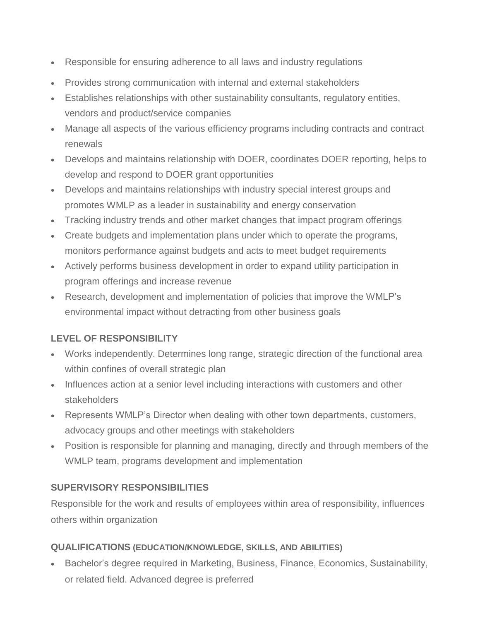- Responsible for ensuring adherence to all laws and industry regulations
- Provides strong communication with internal and external stakeholders
- Establishes relationships with other sustainability consultants, regulatory entities, vendors and product/service companies
- Manage all aspects of the various efficiency programs including contracts and contract renewals
- Develops and maintains relationship with DOER, coordinates DOER reporting, helps to develop and respond to DOER grant opportunities
- Develops and maintains relationships with industry special interest groups and promotes WMLP as a leader in sustainability and energy conservation
- Tracking industry trends and other market changes that impact program offerings
- Create budgets and implementation plans under which to operate the programs, monitors performance against budgets and acts to meet budget requirements
- Actively performs business development in order to expand utility participation in program offerings and increase revenue
- Research, development and implementation of policies that improve the WMLP's environmental impact without detracting from other business goals

## **LEVEL OF RESPONSIBILITY**

- Works independently. Determines long range, strategic direction of the functional area within confines of overall strategic plan
- Influences action at a senior level including interactions with customers and other stakeholders
- Represents WMLP's Director when dealing with other town departments, customers, advocacy groups and other meetings with stakeholders
- Position is responsible for planning and managing, directly and through members of the WMLP team, programs development and implementation

## **SUPERVISORY RESPONSIBILITIES**

Responsible for the work and results of employees within area of responsibility, influences others within organization

#### **QUALIFICATIONS (EDUCATION/KNOWLEDGE, SKILLS, AND ABILITIES)**

**Bachelor's degree required in Marketing, Business, Finance, Economics, Sustainability,** or related field. Advanced degree is preferred